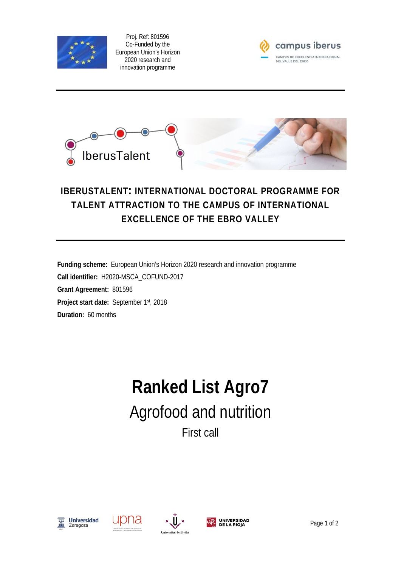

Proj. Ref: 801596 Co-Funded by the European Union's Horizon 2020 research and innovation programme





## **IBERUSTALENT: INTERNATIONAL DOCTORAL PROGRAMME FOR TALENT ATTRACTION TO THE CAMPUS OF INTERNATIONAL EXCELLENCE OF THE EBRO VALLEY**

**Funding scheme:** European Union's Horizon 2020 research and innovation programme **Call identifier:** H2020-MSCA\_COFUND-2017 **Grant Agreement:** 801596 **Project start date:** September 1st, 2018 **Duration:** 60 months

## **Ranked List Agro7** Agrofood and nutrition First call